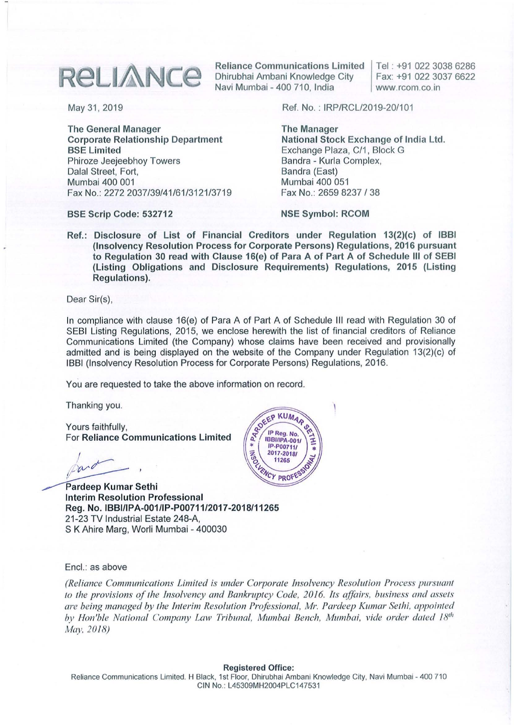## **RELIANCE**

The General Manager Corporate Relationship Department BSE Limited Phiroze Jeejeebhoy Towers Dalal Street, Fort, Mumbai 400 001 Fax No.: 2272 2037/39/41/61/3121/3719

Reliance Communications Limited Dhirubhai Ambani Knowledge City Navi Mumbai - 400 710, India

Tel: +91 02230386286 Fax: +91 022 3037 6622 www.rcom.co.in

May 31, 2019 Ref. No.: IRP/RCL/2019-20/101

The Manager National Stock Exchange of India Ltd. Exchange Plaza, *C/1,* Block G Bandra - Kurla Complex, Bandra (East) Mumbai 400 051 Fax No.: 26598237/38

BSE Scrip Code: 532712

NSE Symbol: RCOM

Ref.: Disclosure of List of Financial Creditors under Regulation 13(2)(c) of IBBI (Insolvency Resolution Process for Corporate Persons) Regulations, 2016 pursuant to Regulation 30 read with Clause 16(e) of Para A of Part A of Schedule **III** of SEBI (Listing Obligations and Disclosure Requirements) Regulations, 2015 (Listing Regulations).

Dear Sir(s),

In compliance with clause 16(e) of Para A of Part A of Schedule III read with Regulation 30 of SEBI Listing Regulations, 2015, we enclose herewith the list of financial creditors of Reliance Communications Limited (the Company) whose claims have been received and provisionally admitted and is being displayed on the website of the Company under Regulation 13(2)(c) of IBBI (Insolvency Resolution Process for Corporate Persons) Regulations, 2016.

You are requested to take the above information on record.

Thanking you.

Yours faithfully, For Reliance Communications Limited

/  $par^{\prime}$ */'nrr--* ,

Pardeep Kumar Sethi Interim Resolution Professional Reg. No. IBBIIIPA·001/Ip·P00711/2017·2018/11265 21-23 TV Industrial Estate 248-A, S K Ahire Marg, Worli Mumbai - 400030



Encl.: as above

*(Reliance Communications Limited is under Corporate Insolvency Resolution Process pursuant to the provisions ofthe Insolvency and Bankl'llptcy Code, 2016. Its affairs. business and assets are being managed by the Interim Resolution Professional, Mr. Pardeep Kumar Sethi, appointed by Hon'ble National Company Law Tribunal, Mumbai Bench, Mumbai, vide order dated 18<sup>th</sup> May. 2018)*

## Registered Office:

Reliance Communications Limited. H Black. 1st Floor, Dhirubhai Ambani Knowledge City. Navi Mumbai - 400 710 CIN No.: L45309MH2004PLC147531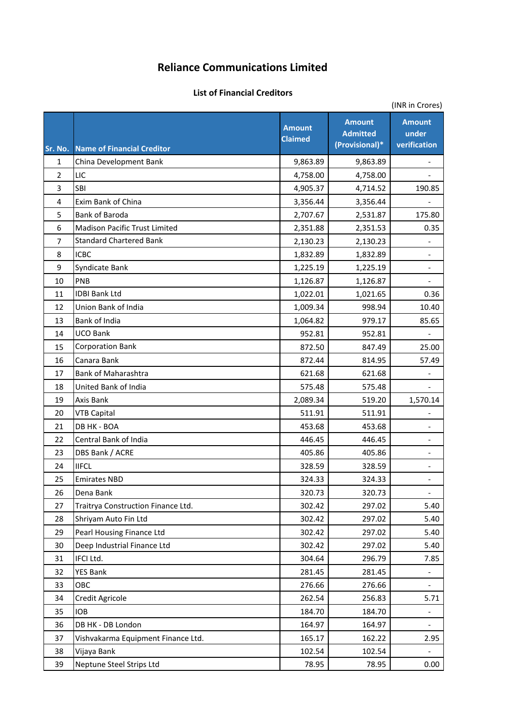## **Reliance Communications Limited**

## **List of Financial Creditors**

|                | (INR in Crores)                      |                                 |                                                    |                                        |  |
|----------------|--------------------------------------|---------------------------------|----------------------------------------------------|----------------------------------------|--|
| Sr. No.        | <b>Name of Financial Creditor</b>    | <b>Amount</b><br><b>Claimed</b> | <b>Amount</b><br><b>Admitted</b><br>(Provisional)* | <b>Amount</b><br>under<br>verification |  |
| $\mathbf{1}$   | China Development Bank               | 9,863.89                        | 9,863.89                                           |                                        |  |
| $\overline{2}$ | LIC                                  | 4,758.00                        | 4,758.00                                           |                                        |  |
| 3              | <b>SBI</b>                           | 4,905.37                        | 4,714.52                                           | 190.85                                 |  |
| 4              | Exim Bank of China                   | 3,356.44                        | 3,356.44                                           |                                        |  |
| 5              | <b>Bank of Baroda</b>                | 2,707.67                        | 2,531.87                                           | 175.80                                 |  |
| 6              | <b>Madison Pacific Trust Limited</b> | 2,351.88                        | 2,351.53                                           | 0.35                                   |  |
| 7              | <b>Standard Chartered Bank</b>       | 2,130.23                        | 2,130.23                                           |                                        |  |
| 8              | <b>ICBC</b>                          | 1,832.89                        | 1,832.89                                           |                                        |  |
| 9              | Syndicate Bank                       | 1,225.19                        | 1,225.19                                           |                                        |  |
| 10             | PNB                                  | 1,126.87                        | 1,126.87                                           |                                        |  |
| 11             | <b>IDBI Bank Ltd</b>                 | 1,022.01                        | 1,021.65                                           | 0.36                                   |  |
| 12             | Union Bank of India                  | 1,009.34                        | 998.94                                             | 10.40                                  |  |
| 13             | Bank of India                        | 1,064.82                        | 979.17                                             | 85.65                                  |  |
| 14             | <b>UCO Bank</b>                      | 952.81                          | 952.81                                             |                                        |  |
| 15             | <b>Corporation Bank</b>              | 872.50                          | 847.49                                             | 25.00                                  |  |
| 16             | Canara Bank                          | 872.44                          | 814.95                                             | 57.49                                  |  |
| 17             | <b>Bank of Maharashtra</b>           | 621.68                          | 621.68                                             |                                        |  |
| 18             | United Bank of India                 | 575.48                          | 575.48                                             |                                        |  |
| 19             | Axis Bank                            | 2,089.34                        | 519.20                                             | 1,570.14                               |  |
| 20             | <b>VTB Capital</b>                   | 511.91                          | 511.91                                             |                                        |  |
| 21             | DB HK - BOA                          | 453.68                          | 453.68                                             |                                        |  |
| 22             | Central Bank of India                | 446.45                          | 446.45                                             |                                        |  |
| 23             | DBS Bank / ACRE                      | 405.86                          | 405.86                                             |                                        |  |
| 24             | <b>IIFCL</b>                         | 328.59                          | 328.59                                             |                                        |  |
| 25             | <b>Emirates NBD</b>                  | 324.33                          | 324.33                                             |                                        |  |
| 26             | Dena Bank                            | 320.73                          | 320.73                                             | $\qquad \qquad -$                      |  |
| 27             | Traitrya Construction Finance Ltd.   | 302.42                          | 297.02                                             | 5.40                                   |  |
| 28             | Shriyam Auto Fin Ltd                 | 302.42                          | 297.02                                             | 5.40                                   |  |
| 29             | Pearl Housing Finance Ltd            | 302.42                          | 297.02                                             | 5.40                                   |  |
| 30             | Deep Industrial Finance Ltd          | 302.42                          | 297.02                                             | 5.40                                   |  |
| 31             | IFCI Ltd.                            | 304.64                          | 296.79                                             | 7.85                                   |  |
| 32             | <b>YES Bank</b>                      | 281.45                          | 281.45                                             |                                        |  |
| 33             | OBC                                  | 276.66                          | 276.66                                             |                                        |  |
| 34             | Credit Agricole                      | 262.54                          | 256.83                                             | 5.71                                   |  |
| 35             | <b>IOB</b>                           | 184.70                          | 184.70                                             |                                        |  |
| 36             | DB HK - DB London                    | 164.97                          | 164.97                                             |                                        |  |
| 37             | Vishvakarma Equipment Finance Ltd.   | 165.17                          | 162.22                                             | 2.95                                   |  |
| 38             | Vijaya Bank                          | 102.54                          | 102.54                                             |                                        |  |
| 39             | Neptune Steel Strips Ltd             | 78.95                           | 78.95                                              | 0.00                                   |  |